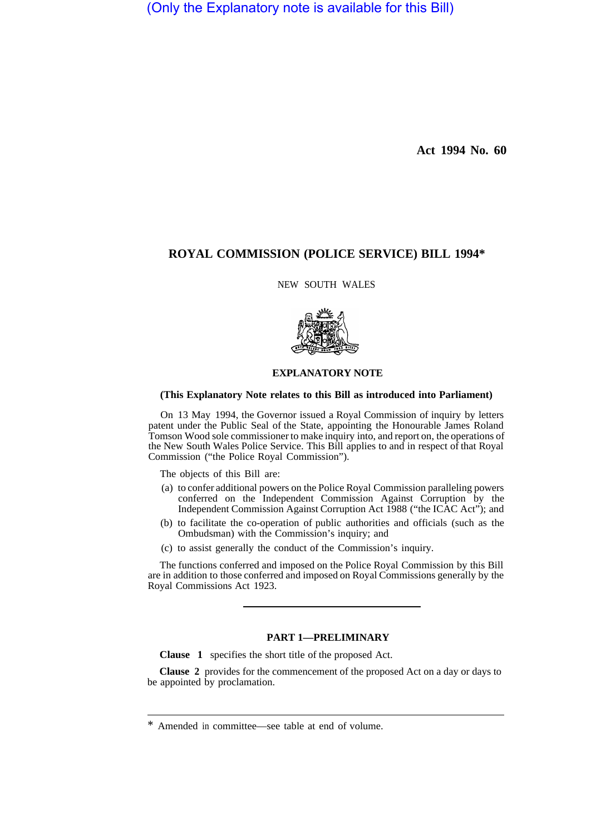(Only the Explanatory note is available for this Bill)

**Act 1994 No. 60** 

# **ROYAL COMMISSION (POLICE SERVICE) BILL 1994\***

NEW SOUTH WALES



## **EXPLANATORY NOTE**

#### **(This Explanatory Note relates to this Bill as introduced into Parliament)**

On 13 May 1994, the Governor issued a Royal Commission of inquiry by letters patent under the Public Seal of the State, appointing the Honourable James Roland Tomson Wood sole commissioner to make inquiry into, and report on, the operations of the New South Wales Police Service. This Bill applies to and in respect of that Royal Commission ("the Police Royal Commission").

The objects of this Bill are:

- (a) to confer additional powers on the Police Royal Commission paralleling powers conferred on the Independent Commission Against Corruption by the Independent Commission Against Corruption Act 1988 ("the ICAC Act"); and
- (b) to facilitate the co-operation of public authorities and officials (such as the Ombudsman) with the Commission's inquiry; and
- (c) to assist generally the conduct of the Commission's inquiry.

The functions conferred and imposed on the Police Royal Commission by this Bill are in addition to those conferred and imposed on Royal Commissions generally by the Royal Commissions Act 1923.

### **PART 1—PRELIMINARY**

**Clause 1** specifies the short title of the proposed Act.

**Clause 2** provides for the commencement of the proposed Act on a day or days to be appointed by proclamation.

<sup>\*</sup> Amended in committee—see table at end of volume.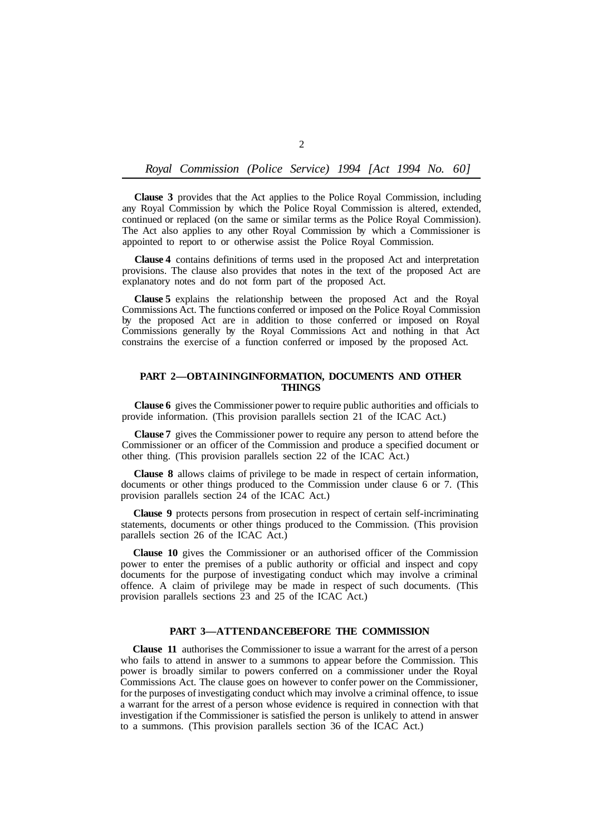## *Royal Commission (Police Service) 1994 [Act 1994 No. 60]*

**Clause 3** provides that the Act applies to the Police Royal Commission, including any Royal Commission by which the Police Royal Commission is altered, extended, continued or replaced (on the same or similar terms as the Police Royal Commission). The Act also applies to any other Royal Commission by which a Commissioner is appointed to report to or otherwise assist the Police Royal Commission.

**Clause 4** contains definitions of terms used in the proposed Act and interpretation provisions. The clause also provides that notes in the text of the proposed Act are explanatory notes and do not form part of the proposed Act.

**Clause 5** explains the relationship between the proposed Act and the Royal Commissions Act. The functions conferred or imposed on the Police Royal Commission by the proposed Act are in addition to those conferred or imposed on Royal Commissions generally by the Royal Commissions Act and nothing in that Act constrains the exercise of a function conferred or imposed by the proposed Act.

### PART 2-OBTAININGINFORMATION, DOCUMENTS AND OTHER **THINGS**

**Clause 6** gives the Commissioner power to require public authorities and officials to provide information. (This provision parallels section 21 of the ICAC Act.)

**Clause 7** gives the Commissioner power to require any person to attend before the Commissioner or an officer of the Commission and produce a specified document or other thing. (This provision parallels section 22 of the ICAC Act.)

**Clause 8** allows claims of privilege to be made in respect of certain information, documents or other things produced to the Commission under clause 6 or 7. (This provision parallels section 24 of the ICAC Act.)

**Clause 9** protects persons from prosecution in respect of certain self-incriminating statements, documents or other things produced to the Commission. (This provision parallels section 26 of the ICAC Act.)

**Clause 10** gives the Commissioner or an authorised officer of the Commission power to enter the premises of a public authority or official and inspect and copy documents for the purpose of investigating conduct which may involve a criminal offence. A claim of privilege may be made in respect of such documents. (This provision parallels sections 23 and 25 of the ICAC Act.)

#### **PART 3-ATTENDANCEBEFORE THE COMMISSION**

**Clause 11** authorises the Commissioner to issue a warrant for the arrest of a person who fails to attend in answer to a summons to appear before the Commission. This power is broadly similar to powers conferred on a commissioner under the Royal Commissions Act. The clause goes on however to confer power on the Commissioner, for the purposes of investigating conduct which may involve a criminal offence, to issue a warrant for the arrest of a person whose evidence is required in connection with that investigation if the Commissioner is satisfied the person is unlikely to attend in answer to a summons. (This provision parallels section 36 of the ICAC Act.)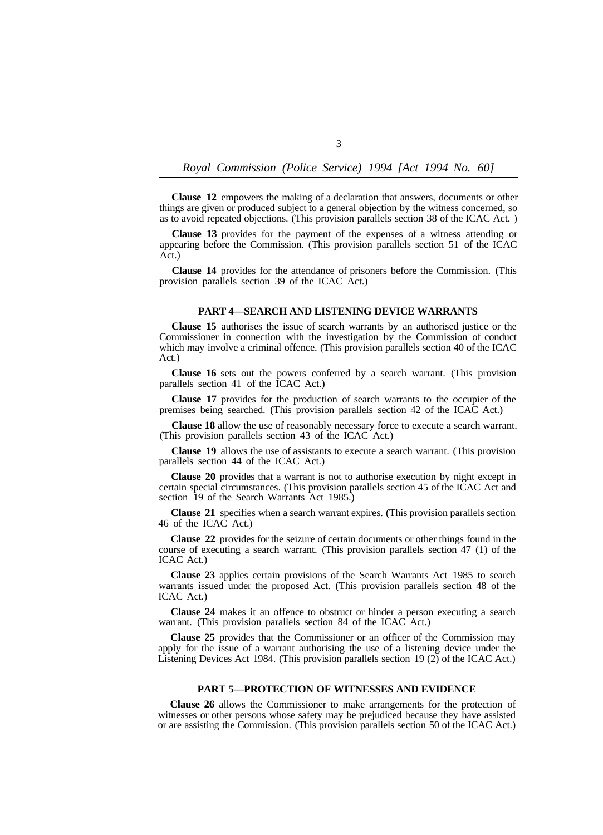## *Royal Commission (Police Service) 1994 [Act 1994 No. 60]*

**Clause 12** empowers the making of a declaration that answers, documents or other things are given or produced subject to a general objection by the witness concerned, so as to avoid repeated objections. (This provision parallels section 38 of the ICAC Act. )

**Clause 13** provides for the payment of the expenses of a witness attending or appearing before the Commission. (This provision parallels section 51 of the ICAC Act.)

**Clause 14** provides for the attendance of prisoners before the Commission. (This provision parallels section 39 of the ICAC Act.)

### **PART 4—SEARCH AND LISTENING DEVICE WARRANTS**

**Clause 15** authorises the issue of search warrants by an authorised justice or the Commissioner in connection with the investigation by the Commission of conduct which may involve a criminal offence. (This provision parallels section 40 of the ICAC Act.)

**Clause 16** sets out the powers conferred by a search warrant. (This provision parallels section 41 of the ICAC Act.)

**Clause 17** provides for the production of search warrants to the occupier of the premises being searched. (This provision parallels section 42 of the ICAC Act.)

**Clause 18** allow the use of reasonably necessary force to execute a search warrant. (This provision parallels section 43 of the ICAC Act.)

**Clause 19** allows the use of assistants to execute a search warrant. (This provision parallels section 44 of the ICAC Act.)

**Clause 20** provides that a warrant is not to authorise execution by night except in certain special circumstances. (This provision parallels section 45 of the ICAC Act and section 19 of the Search Warrants Act 1985.)

**Clause 21** specifies when a search warrant expires. (This provision parallels section 46 of the ICAC Act.)

**Clause 22** provides for the seizure of certain documents or other things found in the course of executing a search warrant. (This provision parallels section 47 (1) of the ICAC Act.)

**Clause 23** applies certain provisions of the Search Warrants Act 1985 to search warrants issued under the proposed Act. (This provision parallels section 48 of the ICAC Act.)

**Clause 24** makes it an offence to obstruct or hinder a person executing a search warrant. (This provision parallels section 84 of the ICAC Act.)

**Clause 25** provides that the Commissioner or an officer of the Commission may apply for the issue of a warrant authorising the use of a listening device under the Listening Devices Act 1984. (This provision parallels section 19 (2) of the ICAC Act.)

### **PART 5—PROTECTION OF WITNESSES AND EVIDENCE**

**Clause 26** allows the Commissioner to make arrangements for the protection of witnesses or other persons whose safety may be prejudiced because they have assisted or are assisting the Commission. (This provision parallels section 50 of the ICAC Act.)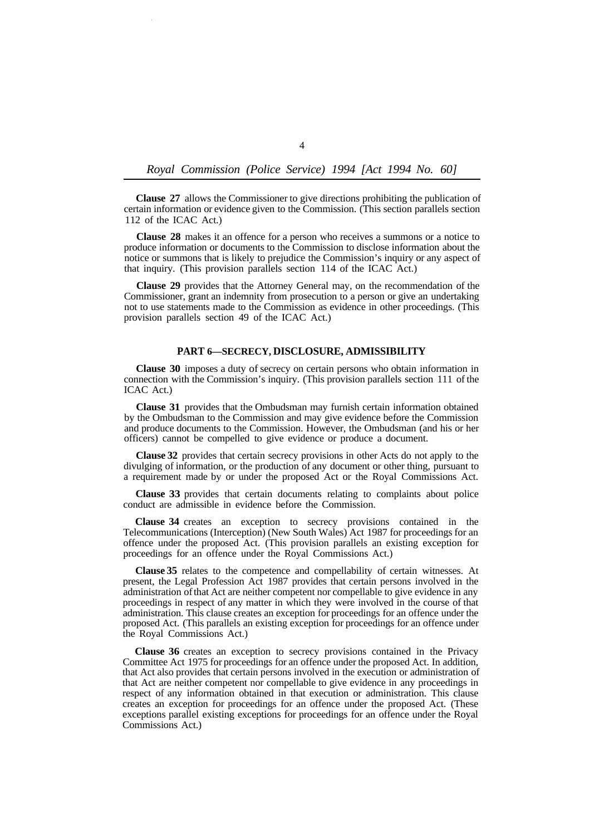## *Royal Commission (Police Service) 1994 [Act 1994 No. 60]*

**Clause 27** allows the Commissioner to give directions prohibiting the publication of certain information or evidence given to the Commission. (This section parallels section 112 of the ICAC Act.)

**Clause 28** makes it an offence for a person who receives a summons or a notice to produce information or documents to the Commission to disclose information about the notice or summons that is likely to prejudice the Commission's inquiry or any aspect of that inquiry. (This provision parallels section 114 of the ICAC Act.)

**Clause 29** provides that the Attorney General may, on the recommendation of the Commissioner, grant an indemnity from prosecution to a person or give an undertaking not to use statements made to the Commission as evidence in other proceedings. (This provision parallels section 49 of the ICAC Act.)

### **PART 6—SECRECY, DISCLOSURE, ADMISSIBILITY**

**Clause 30** imposes a duty of secrecy on certain persons who obtain information in connection with the Commission's inquiry. (This provision parallels section 111 of the ICAC Act.)

**Clause 31** provides that the Ombudsman may furnish certain information obtained by the Ombudsman to the Commission and may give evidence before the Commission and produce documents to the Commission. However, the Ombudsman (and his or her officers) cannot be compelled to give evidence or produce a document.

**Clause 32** provides that certain secrecy provisions in other Acts do not apply to the divulging of information, or the production of any document or other thing, pursuant to a requirement made by or under the proposed Act or the Royal Commissions Act.

**Clause 33** provides that certain documents relating to complaints about police conduct are admissible in evidence before the Commission.

**Clause 34** creates an exception to secrecy provisions contained in the Telecommunications (Interception) (New South Wales) Act 1987 for proceedings for an offence under the proposed Act. (This provision parallels an existing exception for proceedings for an offence under the Royal Commissions Act.)

**Clause 35** relates to the competence and compellability of certain witnesses. At present, the Legal Profession Act 1987 provides that certain persons involved in the administration of that Act are neither competent nor compellable to give evidence in any proceedings in respect of any matter in which they were involved in the course of that administration. This clause creates an exception for proceedings for an offence under the proposed Act. (This parallels an existing exception for proceedings for an offence under the Royal Commissions Act.)

**Clause 36** creates an exception to secrecy provisions contained in the Privacy Committee Act 1975 for proceedings for an offence under the proposed Act. In addition, that Act also provides that certain persons involved in the execution or administration of that Act are neither competent nor compellable to give evidence in any proceedings in respect of any information obtained in that execution or administration. This clause creates an exception for proceedings for an offence under the proposed Act. (These exceptions parallel existing exceptions for proceedings for an offence under the Royal Commissions Act.)